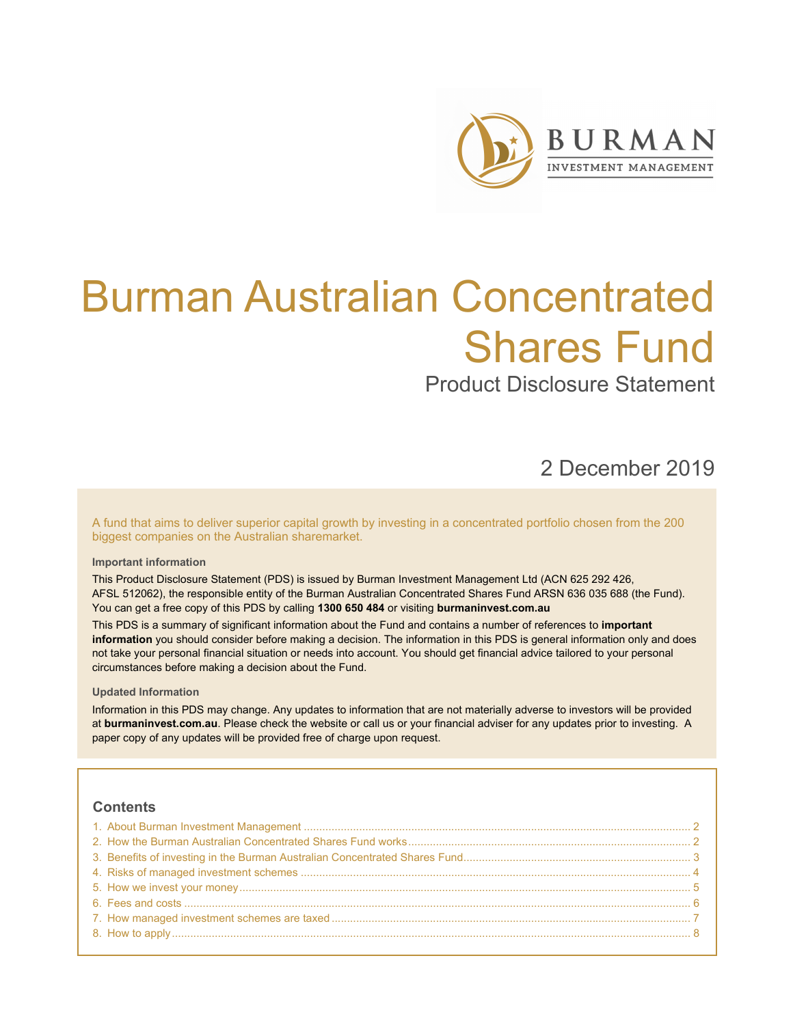

# Burman Australian Concentrated Shares Fund

Product Disclosure Statement

2 December 2019

A fund that aims to deliver superior capital growth by investing in a concentrated portfolio chosen from the 200 biggest companies on the Australian sharemarket.

# **Important information**

This Product Disclosure Statement (PDS) is issued by Burman Investment Management Ltd (ACN 625 292 426, AFSL 512062), the responsible entity of the Burman Australian Concentrated Shares Fund ARSN 636 035 688 (the Fund). You can get a free copy of this PDS by calling **1300 650 484** or visiting **burmaninvest.com.au**

This PDS is a summary of significant information about the Fund and contains a number of references to **important information** you should consider before making a decision. The information in this PDS is general information only and does not take your personal financial situation or needs into account. You should get financial advice tailored to your personal circumstances before making a decision about the Fund.

### **Updated Information**

Information in this PDS may change. Any updates to information that are not materially adverse to investors will be provided at **burmaninvest.com.au**. Please check the website or call us or your financial adviser for any updates prior to investing. A paper copy of any updates will be provided free of charge upon request.

# **Contents**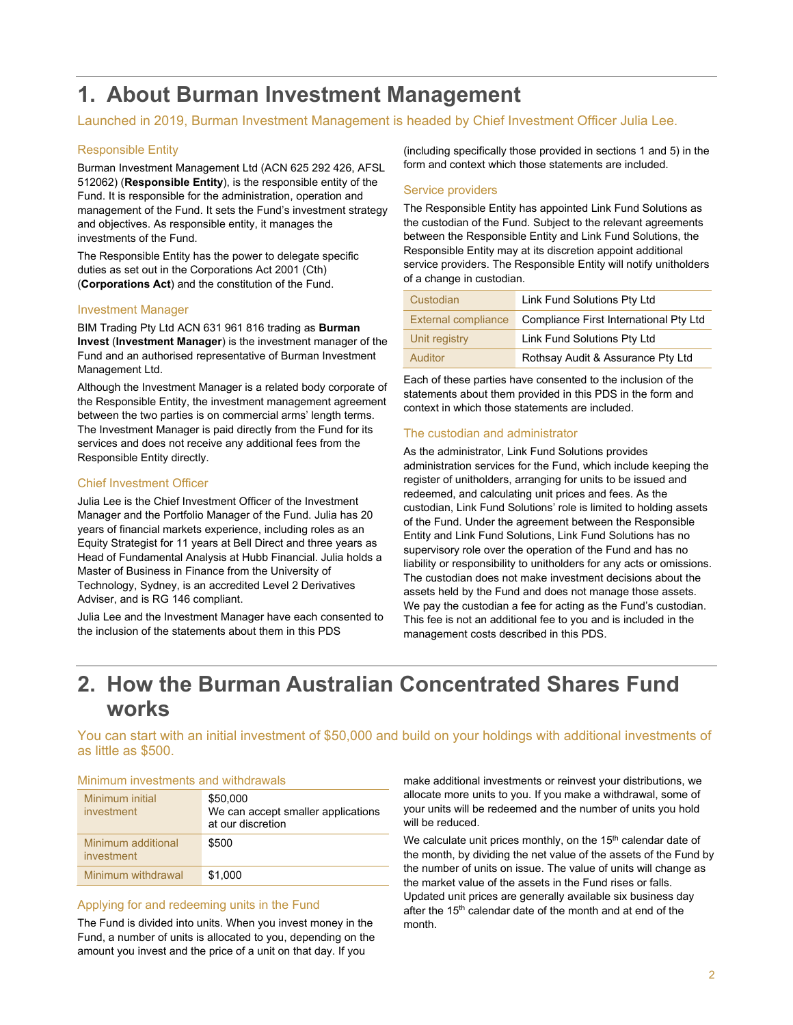# **1. About Burman Investment Management**

# Launched in 2019, Burman Investment Management is headed by Chief Investment Officer Julia Lee.

# Responsible Entity

Burman Investment Management Ltd (ACN 625 292 426, AFSL 512062) (**Responsible Entity**), is the responsible entity of the Fund. It is responsible for the administration, operation and management of the Fund. It sets the Fund's investment strategy and objectives. As responsible entity, it manages the investments of the Fund.

The Responsible Entity has the power to delegate specific duties as set out in the Corporations Act 2001 (Cth) (**Corporations Act**) and the constitution of the Fund.

# Investment Manager

BIM Trading Pty Ltd ACN 631 961 816 trading as **Burman Invest** (**Investment Manager**) is the investment manager of the Fund and an authorised representative of Burman Investment Management Ltd.

Although the Investment Manager is a related body corporate of the Responsible Entity, the investment management agreement between the two parties is on commercial arms' length terms. The Investment Manager is paid directly from the Fund for its services and does not receive any additional fees from the Responsible Entity directly.

# Chief Investment Officer

Julia Lee is the Chief Investment Officer of the Investment Manager and the Portfolio Manager of the Fund. Julia has 20 years of financial markets experience, including roles as an Equity Strategist for 11 years at Bell Direct and three years as Head of Fundamental Analysis at Hubb Financial. Julia holds a Master of Business in Finance from the University of Technology, Sydney, is an accredited Level 2 Derivatives Adviser, and is RG 146 compliant.

Julia Lee and the Investment Manager have each consented to the inclusion of the statements about them in this PDS

(including specifically those provided in sections 1 and 5) in the form and context which those statements are included.

# Service providers

The Responsible Entity has appointed Link Fund Solutions as the custodian of the Fund. Subject to the relevant agreements between the Responsible Entity and Link Fund Solutions, the Responsible Entity may at its discretion appoint additional service providers. The Responsible Entity will notify unitholders of a change in custodian.

| Custodian                  | Link Fund Solutions Pty Ltd            |
|----------------------------|----------------------------------------|
| <b>External compliance</b> | Compliance First International Pty Ltd |
| Unit registry              | Link Fund Solutions Pty Ltd            |
| Auditor                    | Rothsay Audit & Assurance Pty Ltd      |

Each of these parties have consented to the inclusion of the statements about them provided in this PDS in the form and context in which those statements are included.

# The custodian and administrator

As the administrator, Link Fund Solutions provides administration services for the Fund, which include keeping the register of unitholders, arranging for units to be issued and redeemed, and calculating unit prices and fees. As the custodian, Link Fund Solutions' role is limited to holding assets of the Fund. Under the agreement between the Responsible Entity and Link Fund Solutions, Link Fund Solutions has no supervisory role over the operation of the Fund and has no liability or responsibility to unitholders for any acts or omissions. The custodian does not make investment decisions about the assets held by the Fund and does not manage those assets. We pay the custodian a fee for acting as the Fund's custodian. This fee is not an additional fee to you and is included in the management costs described in this PDS.

# **2. How the Burman Australian Concentrated Shares Fund works**

You can start with an initial investment of \$50,000 and build on your holdings with additional investments of as little as \$500.

# Minimum investments and withdrawals

| Minimum initial<br>investment           | \$50,000<br>We can accept smaller applications<br>at our discretion |
|-----------------------------------------|---------------------------------------------------------------------|
| Minimum additional<br><i>investment</i> | \$500                                                               |
| Minimum withdrawal                      | \$1.000                                                             |

#### Applying for and redeeming units in the Fund

The Fund is divided into units. When you invest money in the Fund, a number of units is allocated to you, depending on the amount you invest and the price of a unit on that day. If you

make additional investments or reinvest your distributions, we allocate more units to you. If you make a withdrawal, some of your units will be redeemed and the number of units you hold will be reduced.

We calculate unit prices monthly, on the 15<sup>th</sup> calendar date of the month, by dividing the net value of the assets of the Fund by the number of units on issue. The value of units will change as the market value of the assets in the Fund rises or falls. Updated unit prices are generally available six business day after the 15<sup>th</sup> calendar date of the month and at end of the month.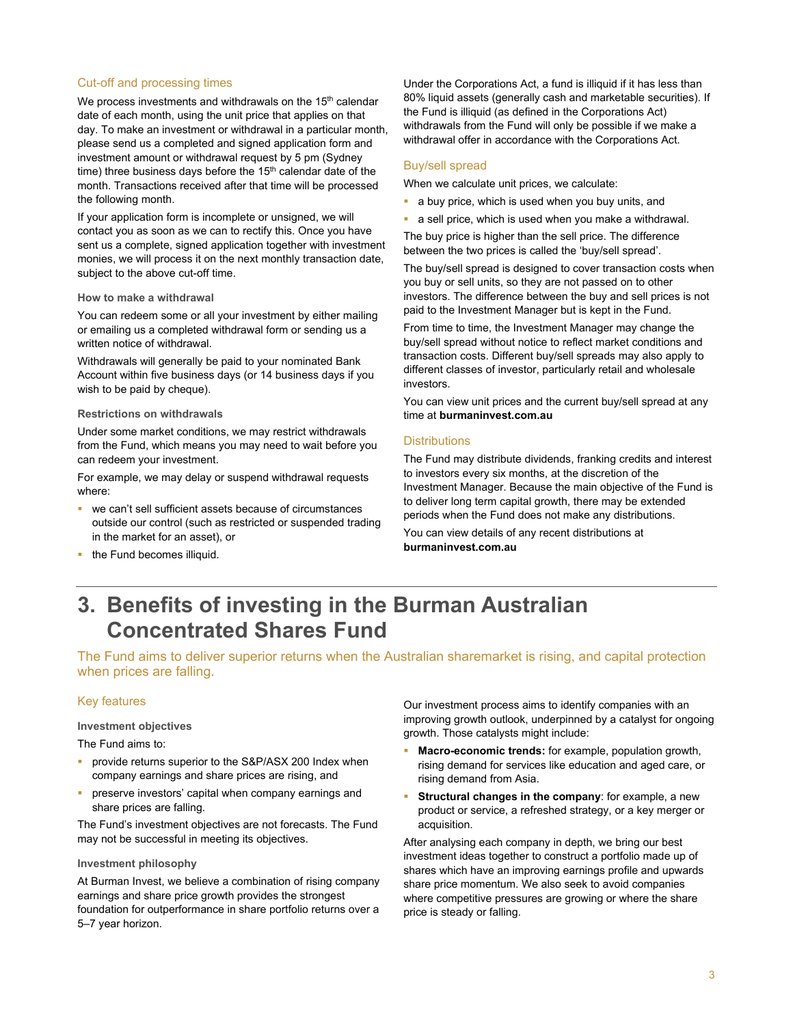#### Cut-off and processing times

We process investments and withdrawals on the 15<sup>th</sup> calendar date of each month, using the unit price that applies on that day. To make an investment or withdrawal in a particular month, please send us a completed and signed application form and investment amount or withdrawal request by 5 pm (Sydney time) three business days before the  $15<sup>th</sup>$  calendar date of the month. Transactions received after that time will be processed the following month.

If your application form is incomplete or unsigned, we will contact you as soon as we can to rectify this. Once you have sent us a complete, signed application together with investment monies, we will process it on the next monthly transaction date, subject to the above cut-off time.

#### **How to make a withdrawal**

You can redeem some or all your investment by either mailing or emailing us a completed withdrawal form or sending us a written notice of withdrawal.

Withdrawals will generally be paid to your nominated Bank Account within five business days (or 14 business days if you wish to be paid by cheque).

#### **Restrictions on withdrawals**

Under some market conditions, we may restrict withdrawals from the Fund, which means you may need to wait before you can redeem your investment.

For example, we may delay or suspend withdrawal requests where:

 we can't sell sufficient assets because of circumstances outside our control (such as restricted or suspended trading in the market for an asset), or

Under the Corporations Act, a fund is illiquid if it has less than 80% liquid assets (generally cash and marketable securities). If the Fund is illiquid (as defined in the Corporations Act) withdrawals from the Fund will only be possible if we make a withdrawal offer in accordance with the Corporations Act.

#### Buy/sell spread

When we calculate unit prices, we calculate:

- **a** buy price, which is used when you buy units, and
- a sell price, which is used when you make a withdrawal.

The buy price is higher than the sell price. The difference between the two prices is called the 'buy/sell spread'.

The buy/sell spread is designed to cover transaction costs when you buy or sell units, so they are not passed on to other investors. The difference between the buy and sell prices is not paid to the Investment Manager but is kept in the Fund.

From time to time, the Investment Manager may change the buy/sell spread without notice to reflect market conditions and transaction costs. Different buy/sell spreads may also apply to different classes of investor, particularly retail and wholesale investors.

You can view unit prices and the current buy/sell spread at any time at **burmaninvest.com.au** 

# **Distributions**

The Fund may distribute dividends, franking credits and interest to investors every six months, at the discretion of the Investment Manager. Because the main objective of the Fund is to deliver long term capital growth, there may be extended periods when the Fund does not make any distributions.

You can view details of any recent distributions at **burmaninvest.com.au**

the Fund becomes illiquid.

# **3. Benefits of investing in the Burman Australian Concentrated Shares Fund**

The Fund aims to deliver superior returns when the Australian sharemarket is rising, and capital protection when prices are falling.

#### Key features

#### **Investment objectives**

The Fund aims to:

- provide returns superior to the S&P/ASX 200 Index when company earnings and share prices are rising, and
- preserve investors' capital when company earnings and share prices are falling.

The Fund's investment objectives are not forecasts. The Fund may not be successful in meeting its objectives.

#### **Investment philosophy**

At Burman Invest, we believe a combination of rising company earnings and share price growth provides the strongest foundation for outperformance in share portfolio returns over a 5–7 year horizon.

Our investment process aims to identify companies with an improving growth outlook, underpinned by a catalyst for ongoing growth. Those catalysts might include:

- **Macro-economic trends:** for example, population growth, rising demand for services like education and aged care, or rising demand from Asia.
- **Structural changes in the company**: for example, a new product or service, a refreshed strategy, or a key merger or acquisition.

After analysing each company in depth, we bring our best investment ideas together to construct a portfolio made up of shares which have an improving earnings profile and upwards share price momentum. We also seek to avoid companies where competitive pressures are growing or where the share price is steady or falling.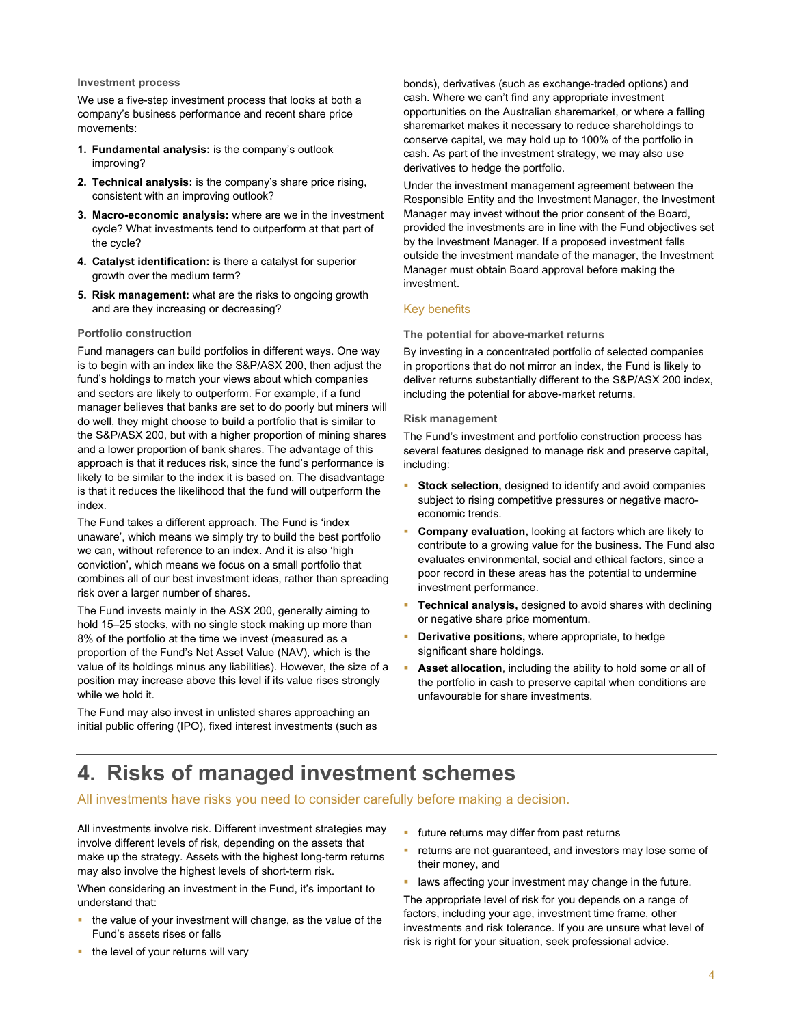#### **Investment process**

We use a five-step investment process that looks at both a company's business performance and recent share price movements:

- **1. Fundamental analysis:** is the company's outlook improving?
- **2. Technical analysis:** is the company's share price rising, consistent with an improving outlook?
- **3. Macro-economic analysis:** where are we in the investment cycle? What investments tend to outperform at that part of the cycle?
- **4. Catalyst identification:** is there a catalyst for superior growth over the medium term?
- **5. Risk management:** what are the risks to ongoing growth and are they increasing or decreasing?

#### **Portfolio construction**

Fund managers can build portfolios in different ways. One way is to begin with an index like the S&P/ASX 200, then adjust the fund's holdings to match your views about which companies and sectors are likely to outperform. For example, if a fund manager believes that banks are set to do poorly but miners will do well, they might choose to build a portfolio that is similar to the S&P/ASX 200, but with a higher proportion of mining shares and a lower proportion of bank shares. The advantage of this approach is that it reduces risk, since the fund's performance is likely to be similar to the index it is based on. The disadvantage is that it reduces the likelihood that the fund will outperform the index.

The Fund takes a different approach. The Fund is 'index unaware', which means we simply try to build the best portfolio we can, without reference to an index. And it is also 'high conviction', which means we focus on a small portfolio that combines all of our best investment ideas, rather than spreading risk over a larger number of shares.

The Fund invests mainly in the ASX 200, generally aiming to hold 15–25 stocks, with no single stock making up more than 8% of the portfolio at the time we invest (measured as a proportion of the Fund's Net Asset Value (NAV), which is the value of its holdings minus any liabilities). However, the size of a position may increase above this level if its value rises strongly while we hold it.

The Fund may also invest in unlisted shares approaching an initial public offering (IPO), fixed interest investments (such as bonds), derivatives (such as exchange-traded options) and cash. Where we can't find any appropriate investment opportunities on the Australian sharemarket, or where a falling sharemarket makes it necessary to reduce shareholdings to conserve capital, we may hold up to 100% of the portfolio in cash. As part of the investment strategy, we may also use derivatives to hedge the portfolio.

Under the investment management agreement between the Responsible Entity and the Investment Manager, the Investment Manager may invest without the prior consent of the Board, provided the investments are in line with the Fund objectives set by the Investment Manager. If a proposed investment falls outside the investment mandate of the manager, the Investment Manager must obtain Board approval before making the investment.

# Key benefits

#### **The potential for above-market returns**

By investing in a concentrated portfolio of selected companies in proportions that do not mirror an index, the Fund is likely to deliver returns substantially different to the S&P/ASX 200 index, including the potential for above-market returns.

#### **Risk management**

The Fund's investment and portfolio construction process has several features designed to manage risk and preserve capital, including:

- **Stock selection,** designed to identify and avoid companies subject to rising competitive pressures or negative macroeconomic trends.
- **Company evaluation,** looking at factors which are likely to contribute to a growing value for the business. The Fund also evaluates environmental, social and ethical factors, since a poor record in these areas has the potential to undermine investment performance.
- **Technical analysis,** designed to avoid shares with declining or negative share price momentum.
- **-** Derivative positions, where appropriate, to hedge significant share holdings.
- **Asset allocation**, including the ability to hold some or all of the portfolio in cash to preserve capital when conditions are unfavourable for share investments.

# **4. Risks of managed investment schemes**

# All investments have risks you need to consider carefully before making a decision.

All investments involve risk. Different investment strategies may involve different levels of risk, depending on the assets that make up the strategy. Assets with the highest long-term returns may also involve the highest levels of short-term risk.

When considering an investment in the Fund, it's important to understand that:

- $\blacksquare$  the value of your investment will change, as the value of the Fund's assets rises or falls
- **future returns may differ from past returns**
- **•** returns are not guaranteed, and investors may lose some of their money, and
- **-** laws affecting your investment may change in the future.

The appropriate level of risk for you depends on a range of factors, including your age, investment time frame, other investments and risk tolerance. If you are unsure what level of risk is right for your situation, seek professional advice.

 $\blacksquare$  the level of your returns will vary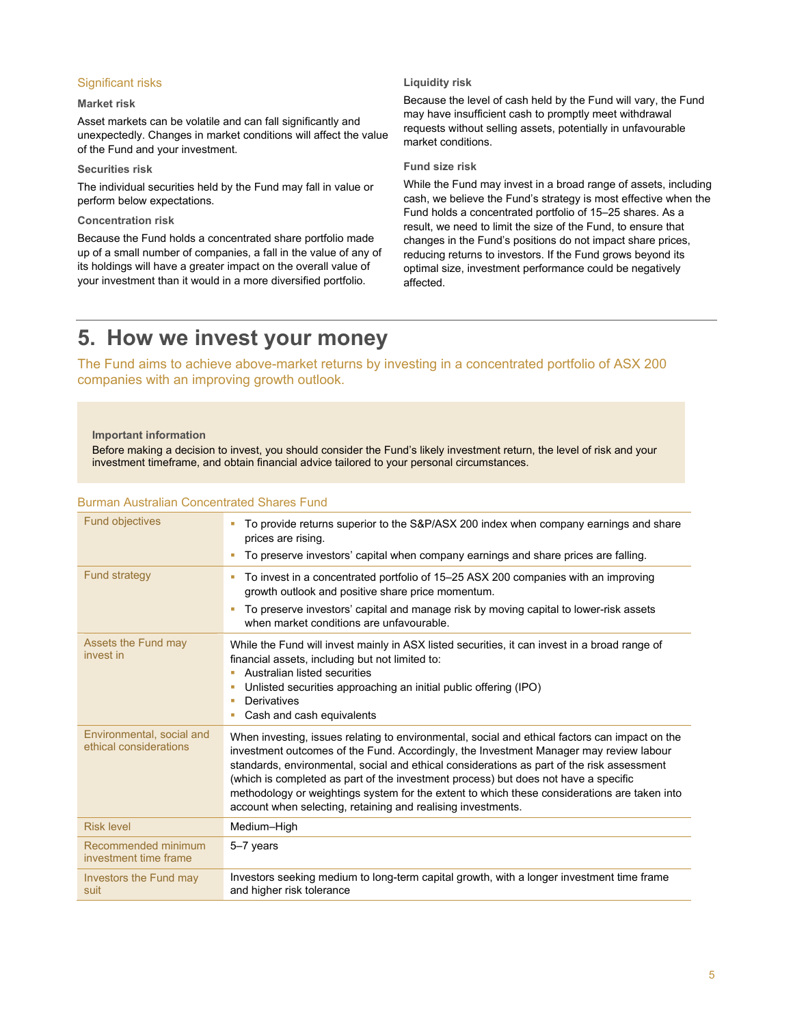### Significant risks

### **Market risk**

Asset markets can be volatile and can fall significantly and unexpectedly. Changes in market conditions will affect the value of the Fund and your investment.

#### **Securities risk**

The individual securities held by the Fund may fall in value or perform below expectations.

### **Concentration risk**

Because the Fund holds a concentrated share portfolio made up of a small number of companies, a fall in the value of any of its holdings will have a greater impact on the overall value of your investment than it would in a more diversified portfolio.

## **Liquidity risk**

Because the level of cash held by the Fund will vary, the Fund may have insufficient cash to promptly meet withdrawal requests without selling assets, potentially in unfavourable market conditions.

#### **Fund size risk**

While the Fund may invest in a broad range of assets, including cash, we believe the Fund's strategy is most effective when the Fund holds a concentrated portfolio of 15–25 shares. As a result, we need to limit the size of the Fund, to ensure that changes in the Fund's positions do not impact share prices, reducing returns to investors. If the Fund grows beyond its optimal size, investment performance could be negatively affected.

# **5. How we invest your money**

The Fund aims to achieve above-market returns by investing in a concentrated portfolio of ASX 200 companies with an improving growth outlook.

### **Important information**

Before making a decision to invest, you should consider the Fund's likely investment return, the level of risk and your investment timeframe, and obtain financial advice tailored to your personal circumstances.

| To provide returns superior to the S&P/ASX 200 index when company earnings and share<br>prices are rising.<br>To preserve investors' capital when company earnings and share prices are falling.                                                                                                                                                                                                                                                                                                                                              |
|-----------------------------------------------------------------------------------------------------------------------------------------------------------------------------------------------------------------------------------------------------------------------------------------------------------------------------------------------------------------------------------------------------------------------------------------------------------------------------------------------------------------------------------------------|
|                                                                                                                                                                                                                                                                                                                                                                                                                                                                                                                                               |
| To invest in a concentrated portfolio of 15–25 ASX 200 companies with an improving<br>growth outlook and positive share price momentum.                                                                                                                                                                                                                                                                                                                                                                                                       |
| To preserve investors' capital and manage risk by moving capital to lower-risk assets<br>when market conditions are unfavourable.                                                                                                                                                                                                                                                                                                                                                                                                             |
| While the Fund will invest mainly in ASX listed securities, it can invest in a broad range of<br>financial assets, including but not limited to:<br>Australian listed securities<br>Unlisted securities approaching an initial public offering (IPO)<br><b>Derivatives</b><br>Cash and cash equivalents                                                                                                                                                                                                                                       |
| When investing, issues relating to environmental, social and ethical factors can impact on the<br>investment outcomes of the Fund. Accordingly, the Investment Manager may review labour<br>standards, environmental, social and ethical considerations as part of the risk assessment<br>(which is completed as part of the investment process) but does not have a specific<br>methodology or weightings system for the extent to which these considerations are taken into<br>account when selecting, retaining and realising investments. |
| Medium-High                                                                                                                                                                                                                                                                                                                                                                                                                                                                                                                                   |
| 5-7 years                                                                                                                                                                                                                                                                                                                                                                                                                                                                                                                                     |
| Investors seeking medium to long-term capital growth, with a longer investment time frame<br>and higher risk tolerance                                                                                                                                                                                                                                                                                                                                                                                                                        |
|                                                                                                                                                                                                                                                                                                                                                                                                                                                                                                                                               |

#### Burman Australian Concentrated Shares Fund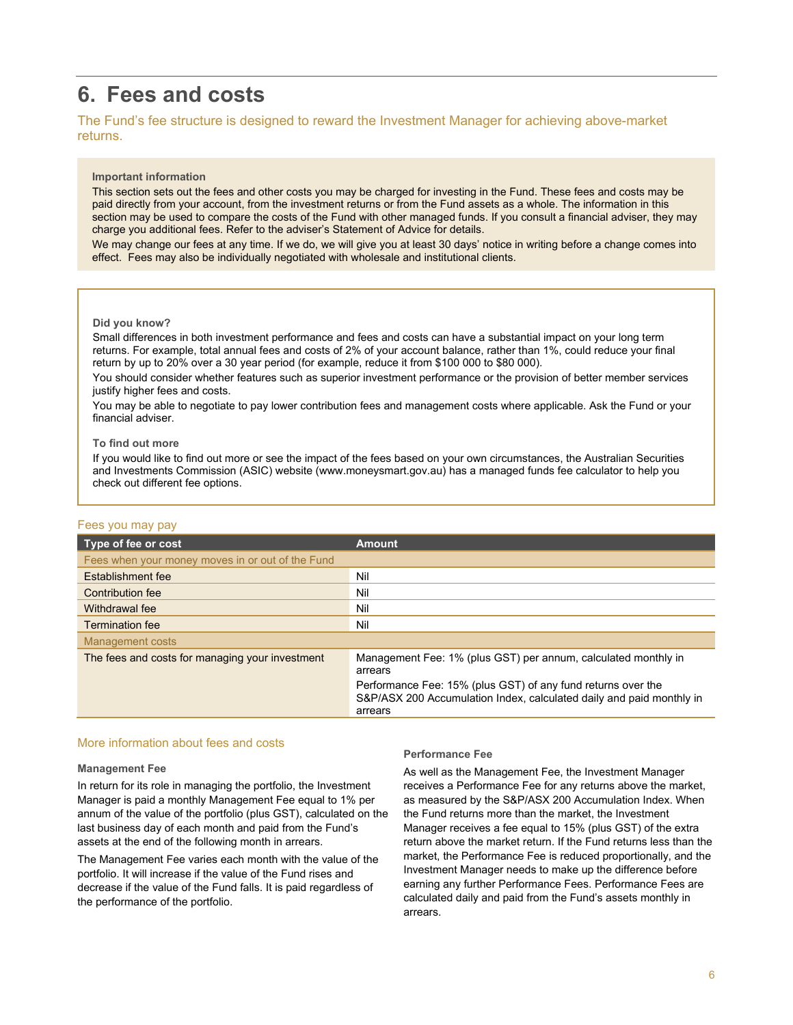# **6. Fees and costs**

# The Fund's fee structure is designed to reward the Investment Manager for achieving above-market returns.

#### **Important information**

This section sets out the fees and other costs you may be charged for investing in the Fund. These fees and costs may be paid directly from your account, from the investment returns or from the Fund assets as a whole. The information in this section may be used to compare the costs of the Fund with other managed funds. If you consult a financial adviser, they may charge you additional fees. Refer to the adviser's Statement of Advice for details.

We may change our fees at any time. If we do, we will give you at least 30 days' notice in writing before a change comes into effect. Fees may also be individually negotiated with wholesale and institutional clients.

#### **Did you know?**

Small differences in both investment performance and fees and costs can have a substantial impact on your long term returns. For example, total annual fees and costs of 2% of your account balance, rather than 1%, could reduce your final return by up to 20% over a 30 year period (for example, reduce it from \$100 000 to \$80 000).

You should consider whether features such as superior investment performance or the provision of better member services justify higher fees and costs.

You may be able to negotiate to pay lower contribution fees and management costs where applicable. Ask the Fund or your financial adviser.

#### **To find out more**

If you would like to find out more or see the impact of the fees based on your own circumstances, the Australian Securities and Investments Commission (ASIC) website (www.moneysmart.gov.au) has a managed funds fee calculator to help you check out different fee options.

# Fees you may pay

| Type of fee or cost                              | <b>Amount</b>                                                                                                                                   |
|--------------------------------------------------|-------------------------------------------------------------------------------------------------------------------------------------------------|
| Fees when your money moves in or out of the Fund |                                                                                                                                                 |
| Establishment fee                                | Nil                                                                                                                                             |
| <b>Contribution fee</b>                          | Nil                                                                                                                                             |
| Withdrawal fee                                   | Nil                                                                                                                                             |
| <b>Termination fee</b>                           | Nil                                                                                                                                             |
| <b>Management costs</b>                          |                                                                                                                                                 |
| The fees and costs for managing your investment  | Management Fee: 1% (plus GST) per annum, calculated monthly in<br>arrears                                                                       |
|                                                  | Performance Fee: 15% (plus GST) of any fund returns over the<br>S&P/ASX 200 Accumulation Index, calculated daily and paid monthly in<br>arrears |

# More information about fees and costs

#### **Management Fee**

In return for its role in managing the portfolio, the Investment Manager is paid a monthly Management Fee equal to 1% per annum of the value of the portfolio (plus GST), calculated on the last business day of each month and paid from the Fund's assets at the end of the following month in arrears.

The Management Fee varies each month with the value of the portfolio. It will increase if the value of the Fund rises and decrease if the value of the Fund falls. It is paid regardless of the performance of the portfolio.

#### **Performance Fee**

As well as the Management Fee, the Investment Manager receives a Performance Fee for any returns above the market, as measured by the S&P/ASX 200 Accumulation Index. When the Fund returns more than the market, the Investment Manager receives a fee equal to 15% (plus GST) of the extra return above the market return. If the Fund returns less than the market, the Performance Fee is reduced proportionally, and the Investment Manager needs to make up the difference before earning any further Performance Fees. Performance Fees are calculated daily and paid from the Fund's assets monthly in arrears.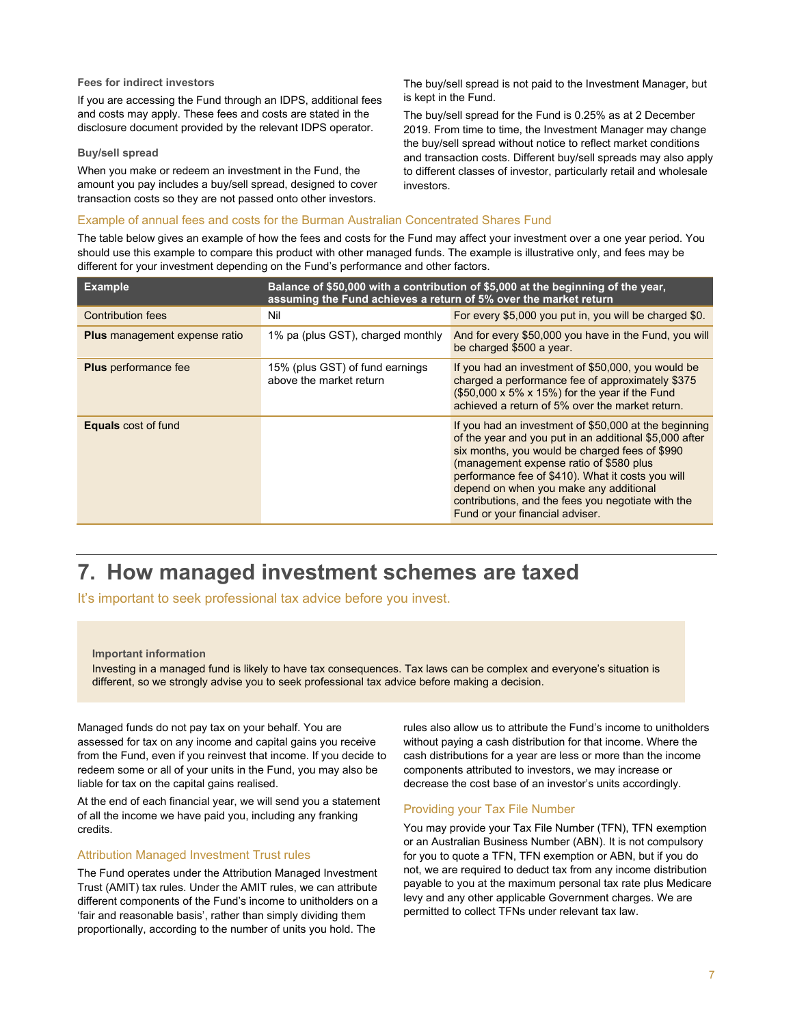#### **Fees for indirect investors**

If you are accessing the Fund through an IDPS, additional fees and costs may apply. These fees and costs are stated in the disclosure document provided by the relevant IDPS operator.

#### **Buy/sell spread**

When you make or redeem an investment in the Fund, the amount you pay includes a buy/sell spread, designed to cover transaction costs so they are not passed onto other investors.

The buy/sell spread is not paid to the Investment Manager, but is kept in the Fund.

The buy/sell spread for the Fund is 0.25% as at 2 December 2019. From time to time, the Investment Manager may change the buy/sell spread without notice to reflect market conditions and transaction costs. Different buy/sell spreads may also apply to different classes of investor, particularly retail and wholesale investors.

### Example of annual fees and costs for the Burman Australian Concentrated Shares Fund

The table below gives an example of how the fees and costs for the Fund may affect your investment over a one year period. You should use this example to compare this product with other managed funds. The example is illustrative only, and fees may be different for your investment depending on the Fund's performance and other factors.

| <b>Example</b>                       | assuming the Fund achieves a return of 5% over the market return | Balance of \$50,000 with a contribution of \$5,000 at the beginning of the year.                                                                                                                                                                                                                                                                                                                     |
|--------------------------------------|------------------------------------------------------------------|------------------------------------------------------------------------------------------------------------------------------------------------------------------------------------------------------------------------------------------------------------------------------------------------------------------------------------------------------------------------------------------------------|
| <b>Contribution fees</b>             | Nil                                                              | For every \$5,000 you put in, you will be charged \$0.                                                                                                                                                                                                                                                                                                                                               |
| <b>Plus</b> management expense ratio | 1% pa (plus GST), charged monthly                                | And for every \$50,000 you have in the Fund, you will<br>be charged \$500 a year.                                                                                                                                                                                                                                                                                                                    |
| <b>Plus</b> performance fee          | 15% (plus GST) of fund earnings<br>above the market return       | If you had an investment of \$50,000, you would be<br>charged a performance fee of approximately \$375<br>(\$50,000 x 5% x 15%) for the year if the Fund<br>achieved a return of 5% over the market return.                                                                                                                                                                                          |
| <b>Equals</b> cost of fund           |                                                                  | If you had an investment of \$50,000 at the beginning<br>of the year and you put in an additional \$5,000 after<br>six months, you would be charged fees of \$990<br>(management expense ratio of \$580 plus<br>performance fee of \$410). What it costs you will<br>depend on when you make any additional<br>contributions, and the fees you negotiate with the<br>Fund or your financial adviser. |

# **7. How managed investment schemes are taxed**

It's important to seek professional tax advice before you invest.

#### **Important information**

Investing in a managed fund is likely to have tax consequences. Tax laws can be complex and everyone's situation is different, so we strongly advise you to seek professional tax advice before making a decision.

Managed funds do not pay tax on your behalf. You are assessed for tax on any income and capital gains you receive from the Fund, even if you reinvest that income. If you decide to redeem some or all of your units in the Fund, you may also be liable for tax on the capital gains realised.

At the end of each financial year, we will send you a statement of all the income we have paid you, including any franking credits.

#### Attribution Managed Investment Trust rules

The Fund operates under the Attribution Managed Investment Trust (AMIT) tax rules. Under the AMIT rules, we can attribute different components of the Fund's income to unitholders on a 'fair and reasonable basis', rather than simply dividing them proportionally, according to the number of units you hold. The

rules also allow us to attribute the Fund's income to unitholders without paying a cash distribution for that income. Where the cash distributions for a year are less or more than the income components attributed to investors, we may increase or decrease the cost base of an investor's units accordingly.

# Providing your Tax File Number

You may provide your Tax File Number (TFN), TFN exemption or an Australian Business Number (ABN). It is not compulsory for you to quote a TFN, TFN exemption or ABN, but if you do not, we are required to deduct tax from any income distribution payable to you at the maximum personal tax rate plus Medicare levy and any other applicable Government charges. We are permitted to collect TFNs under relevant tax law.